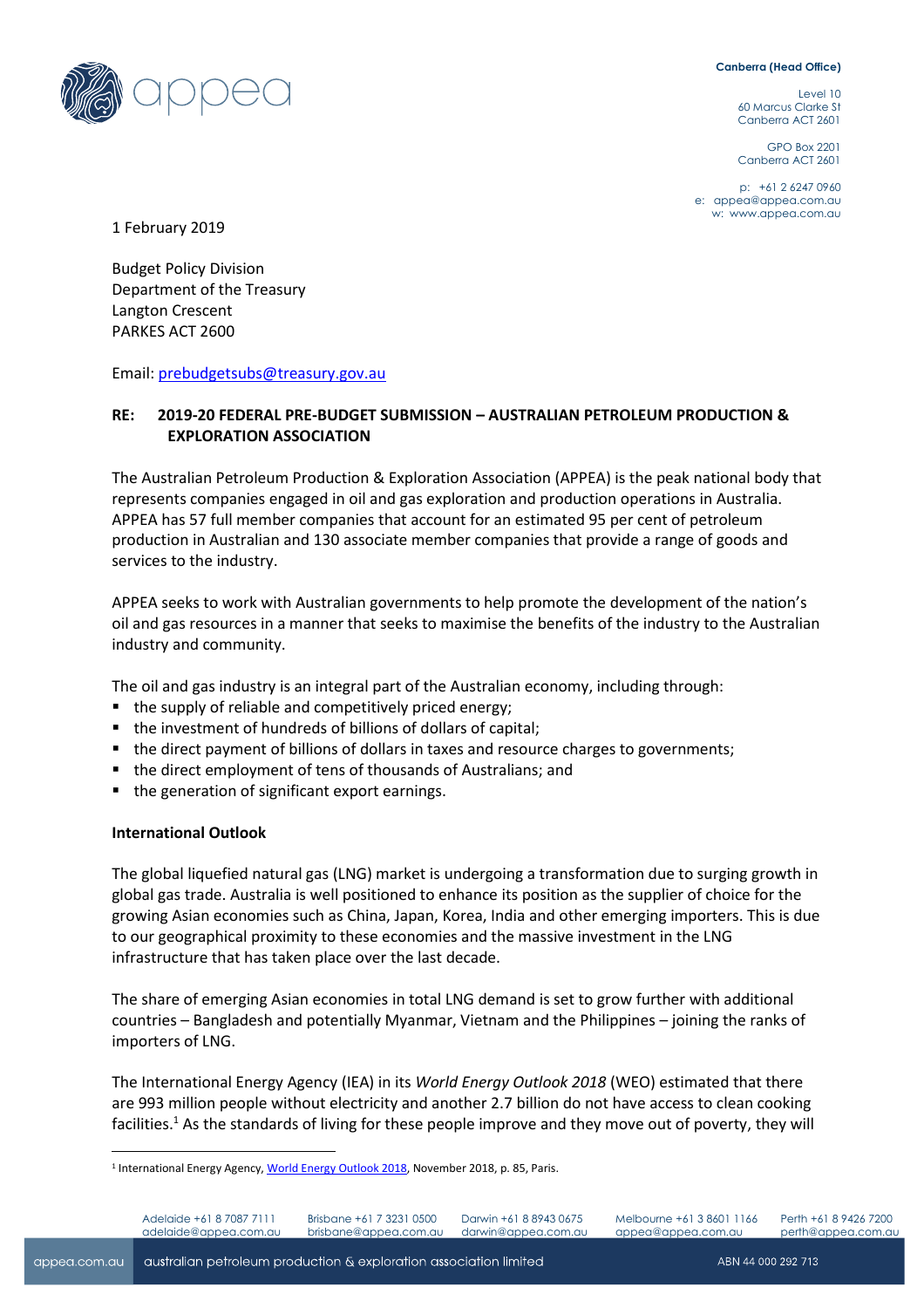#### **Canberra (Head Office)**



Level 10 60 Marcus Clarke St Canberra ACT 2601

GPO Box 2201 Canberra ACT 2601

p: +61 2 6247 0960 e: [appea@appea.com.au](mailto:appea@appea.com.au) w: [www.appea.com.au](http://www.appea.com.au/)

1 February 2019

Budget Policy Division Department of the Treasury Langton Crescent PARKES ACT 2600

Email: [prebudgetsubs@treasury.gov.au](mailto:prebudgetsubs@treasury.gov.au)

# **RE: 2019-20 FEDERAL PRE-BUDGET SUBMISSION – AUSTRALIAN PETROLEUM PRODUCTION & EXPLORATION ASSOCIATION**

The Australian Petroleum Production & Exploration Association (APPEA) is the peak national body that represents companies engaged in oil and gas exploration and production operations in Australia. APPEA has 57 full member companies that account for an estimated 95 per cent of petroleum production in Australian and 130 associate member companies that provide a range of goods and services to the industry.

APPEA seeks to work with Australian governments to help promote the development of the nation's oil and gas resources in a manner that seeks to maximise the benefits of the industry to the Australian industry and community.

The oil and gas industry is an integral part of the Australian economy, including through:

- the supply of reliable and competitively priced energy;
- the investment of hundreds of billions of dollars of capital;
- the direct payment of billions of dollars in taxes and resource charges to governments;
- the direct employment of tens of thousands of Australians; and
- the generation of significant export earnings.

#### **International Outlook**

 $\overline{a}$ 

The global liquefied natural gas (LNG) market is undergoing a transformation due to surging growth in global gas trade. Australia is well positioned to enhance its position as the supplier of choice for the growing Asian economies such as China, Japan, Korea, India and other emerging importers. This is due to our geographical proximity to these economies and the massive investment in the LNG infrastructure that has taken place over the last decade.

The share of emerging Asian economies in total LNG demand is set to grow further with additional countries – Bangladesh and potentially Myanmar, Vietnam and the Philippines – joining the ranks of importers of LNG.

The International Energy Agency (IEA) in its *World Energy Outlook 2018* (WEO) estimated that there are 993 million people without electricity and another 2.7 billion do not have access to clean cooking facilities.<sup>1</sup> As the standards of living for these people improve and they move out of poverty, they will

Darwin +61 8 8943 0675 darwin@appea.com.au

<sup>&</sup>lt;sup>1</sup> International Energy Agency, World Energ[y Outlook](https://www.iea.org/weo2018/) 2018, November 2018, p. 85, Paris.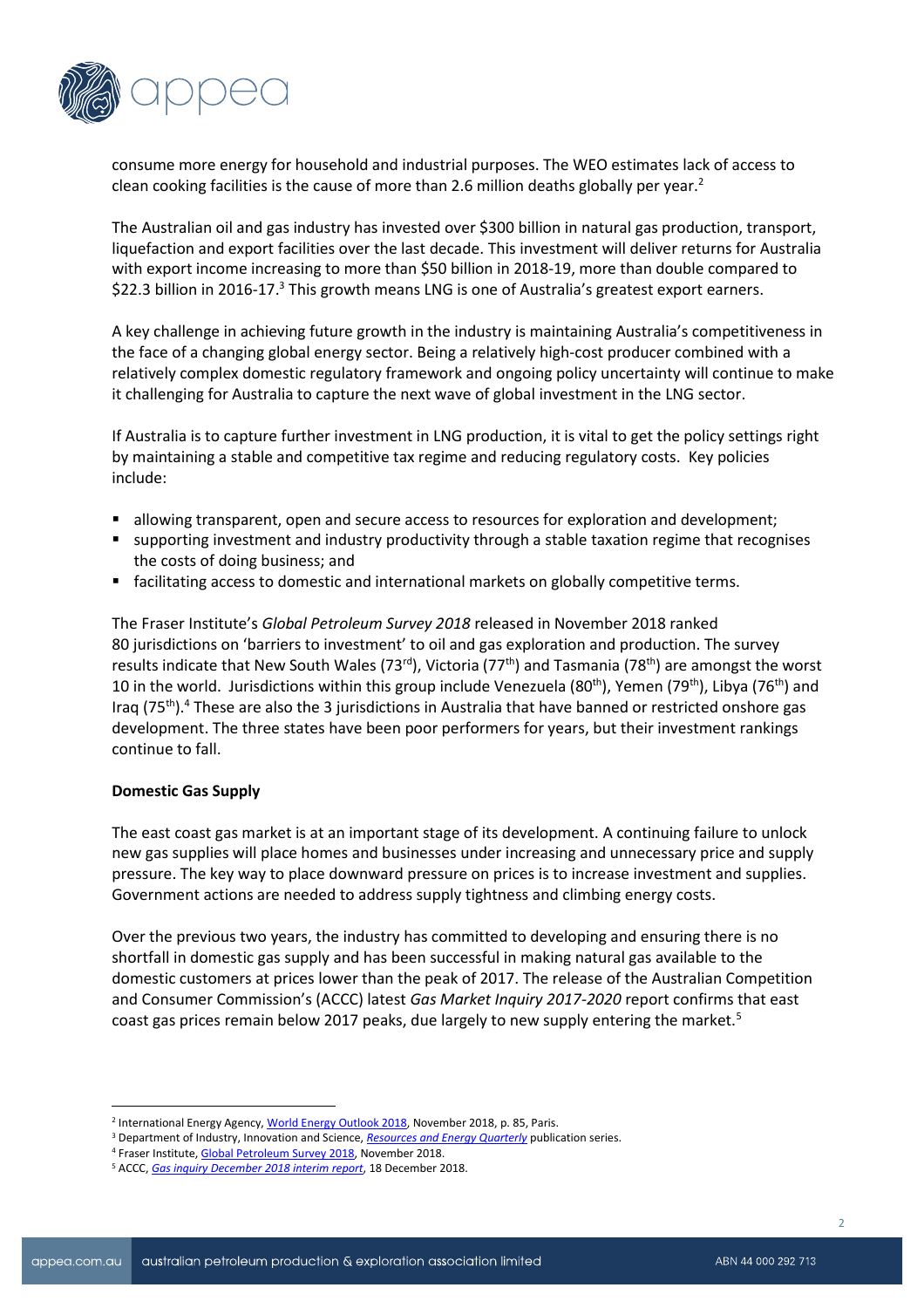

consume more energy for household and industrial purposes. The WEO estimates lack of access to clean cooking facilities is the cause of more than 2.6 million deaths globally per year.<sup>2</sup>

The Australian oil and gas industry has invested over \$300 billion in natural gas production, transport, liquefaction and export facilities over the last decade. This investment will deliver returns for Australia with export income increasing to more than \$50 billion in 2018-19, more than double compared to \$22.3 billion in 2016-17.<sup>3</sup> This growth means LNG is one of Australia's greatest export earners.

A key challenge in achieving future growth in the industry is maintaining Australia's competitiveness in the face of a changing global energy sector. Being a relatively high-cost producer combined with a relatively complex domestic regulatory framework and ongoing policy uncertainty will continue to make it challenging for Australia to capture the next wave of global investment in the LNG sector.

If Australia is to capture further investment in LNG production, it is vital to get the policy settings right by maintaining a stable and competitive tax regime and reducing regulatory costs. Key policies include:

- allowing transparent, open and secure access to resources for exploration and development;
- supporting investment and industry productivity through a stable taxation regime that recognises the costs of doing business; and
- facilitating access to domestic and international markets on globally competitive terms.

The Fraser Institute's *Global Petroleum Survey 2018* released in November 2018 ranked 80 jurisdictions on 'barriers to investment' to oil and gas exploration and production. The survey results indicate that New South Wales (73<sup>rd</sup>), Victoria (77<sup>th</sup>) and Tasmania (78<sup>th</sup>) are amongst the worst 10 in the world. Jurisdictions within this group include Venezuela (80<sup>th</sup>), Yemen (79<sup>th</sup>), Libya (76<sup>th</sup>) and Iraq (75<sup>th</sup>).<sup>4</sup> These are also the 3 jurisdictions in Australia that have banned or restricted onshore gas development. The three states have been poor performers for years, but their investment rankings continue to fall.

#### **Domestic Gas Supply**

 $\overline{a}$ 

The east coast gas market is at an important stage of its development. A continuing failure to unlock new gas supplies will place homes and businesses under increasing and unnecessary price and supply pressure. The key way to place downward pressure on prices is to increase investment and supplies. Government actions are needed to address supply tightness and climbing energy costs.

Over the previous two years, the industry has committed to developing and ensuring there is no shortfall in domestic gas supply and has been successful in making natural gas available to the domestic customers at prices lower than the peak of 2017. The release of the Australian Competition and Consumer Commission's (ACCC) latest *Gas Market Inquiry 2017-2020* report confirms that east coast gas prices remain below 2017 peaks, due largely to new supply entering the market.<sup>5</sup>

<sup>&</sup>lt;sup>2</sup> International Energy Agency, World Energ[y Outlook](https://www.iea.org/weo2018/) 2018, November 2018, p. 85, Paris.

<sup>&</sup>lt;sup>3</sup> Department of Industry, Innovation and Science, *[Resources and Energy Quarterly](https://industry.gov.au/Office-of-the-Chief-Economist/Publications/Pages/Resources-and-energy-quarterly.aspx)* publication series.

<sup>4</sup> Fraser Institute[, Global Petroleum Survey 2018,](https://www.fraserinstitute.org/sites/default/files/global-petroleum-survey-2018.pdf) November 2018.

<sup>5</sup> ACCC, *[Gas inquiry December 2018 interim report](https://www.accc.gov.au/publications/serial-publications/gas-inquiry-2017-2020/gas-inquiry-december-2018-interim-report)*, 18 December 2018.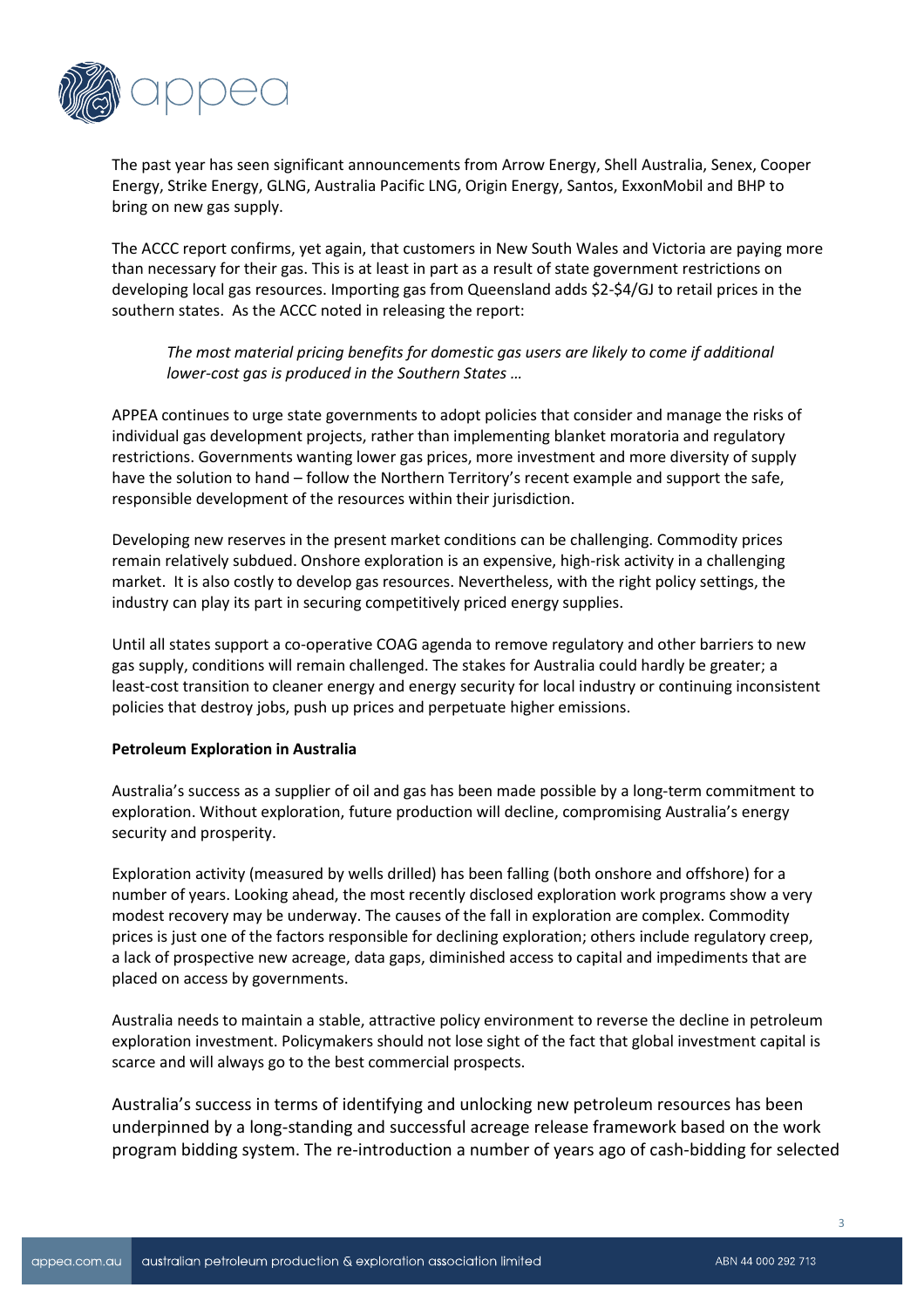

The past year has seen significant announcements from Arrow Energy, Shell Australia, Senex, Cooper Energy, Strike Energy, GLNG, Australia Pacific LNG, Origin Energy, Santos, ExxonMobil and BHP to bring on new gas supply.

The ACCC report confirms, yet again, that customers in New South Wales and Victoria are paying more than necessary for their gas. This is at least in part as a result of state government restrictions on developing local gas resources. Importing gas from Queensland adds \$2-\$4/GJ to retail prices in the southern states. As the ACCC noted in releasing the report:

*The most material pricing benefits for domestic gas users are likely to come if additional lower-cost gas is produced in the Southern States …*

APPEA continues to urge state governments to adopt policies that consider and manage the risks of individual gas development projects, rather than implementing blanket moratoria and regulatory restrictions. Governments wanting lower gas prices, more investment and more diversity of supply have the solution to hand – follow the Northern Territory's recent example and support the safe, responsible development of the resources within their jurisdiction.

Developing new reserves in the present market conditions can be challenging. Commodity prices remain relatively subdued. Onshore exploration is an expensive, high-risk activity in a challenging market. It is also costly to develop gas resources. Nevertheless, with the right policy settings, the industry can play its part in securing competitively priced energy supplies.

Until all states support a co-operative COAG agenda to remove regulatory and other barriers to new gas supply, conditions will remain challenged. The stakes for Australia could hardly be greater; a least-cost transition to cleaner energy and energy security for local industry or continuing inconsistent policies that destroy jobs, push up prices and perpetuate higher emissions.

#### **Petroleum Exploration in Australia**

Australia's success as a supplier of oil and gas has been made possible by a long-term commitment to exploration. Without exploration, future production will decline, compromising Australia's energy security and prosperity.

Exploration activity (measured by wells drilled) has been falling (both onshore and offshore) for a number of years. Looking ahead, the most recently disclosed exploration work programs show a very modest recovery may be underway. The causes of the fall in exploration are complex. Commodity prices is just one of the factors responsible for declining exploration; others include regulatory creep, a lack of prospective new acreage, data gaps, diminished access to capital and impediments that are placed on access by governments.

Australia needs to maintain a stable, attractive policy environment to reverse the decline in petroleum exploration investment. Policymakers should not lose sight of the fact that global investment capital is scarce and will always go to the best commercial prospects.

Australia's success in terms of identifying and unlocking new petroleum resources has been underpinned by a long-standing and successful acreage release framework based on the work program bidding system. The re-introduction a number of years ago of cash-bidding for selected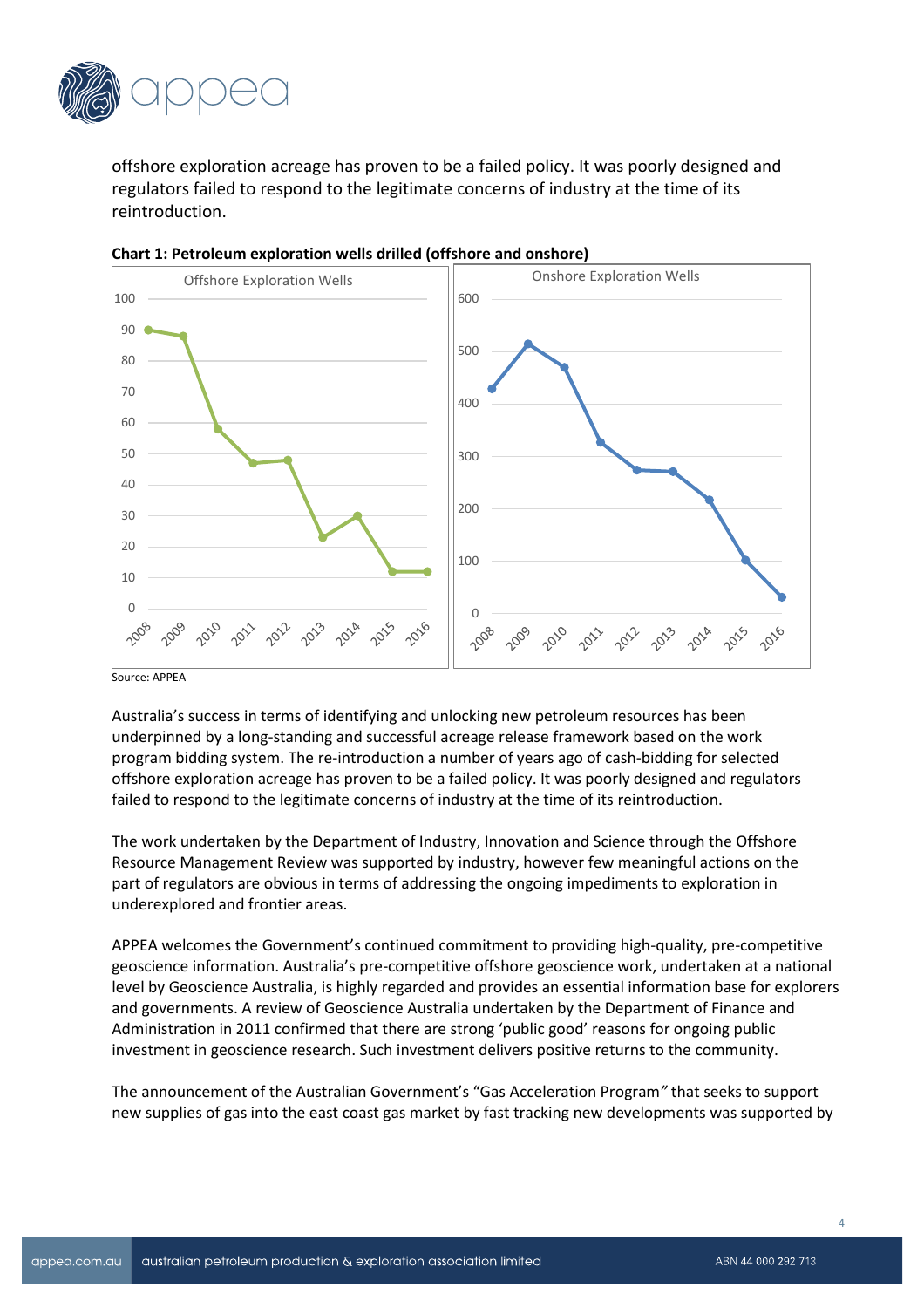

offshore exploration acreage has proven to be a failed policy. It was poorly designed and regulators failed to respond to the legitimate concerns of industry at the time of its reintroduction.



**Chart 1: Petroleum exploration wells drilled (offshore and onshore)**

Australia's success in terms of identifying and unlocking new petroleum resources has been underpinned by a long-standing and successful acreage release framework based on the work program bidding system. The re-introduction a number of years ago of cash-bidding for selected offshore exploration acreage has proven to be a failed policy. It was poorly designed and regulators failed to respond to the legitimate concerns of industry at the time of its reintroduction.

The work undertaken by the Department of Industry, Innovation and Science through the Offshore Resource Management Review was supported by industry, however few meaningful actions on the part of regulators are obvious in terms of addressing the ongoing impediments to exploration in underexplored and frontier areas.

APPEA welcomes the Government's continued commitment to providing high-quality, pre-competitive geoscience information. Australia's pre-competitive offshore geoscience work, undertaken at a national level by Geoscience Australia, is highly regarded and provides an essential information base for explorers and governments. A review of Geoscience Australia undertaken by the Department of Finance and Administration in 2011 confirmed that there are strong 'public good' reasons for ongoing public investment in geoscience research. Such investment delivers positive returns to the community.

The announcement of the Australian Government's "Gas Acceleration Program*"* that seeks to support new supplies of gas into the east coast gas market by fast tracking new developments was supported by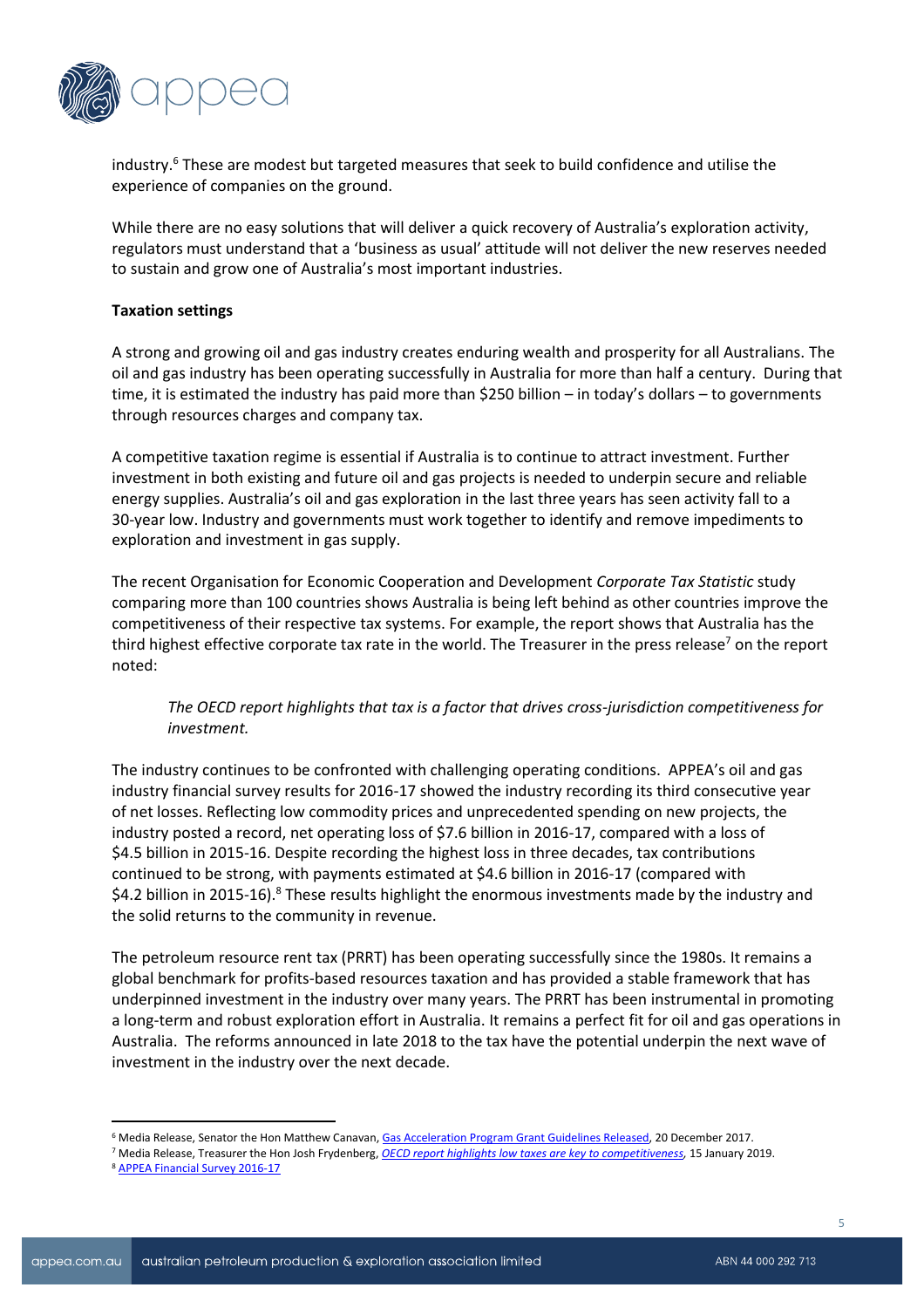

industry. <sup>6</sup> These are modest but targeted measures that seek to build confidence and utilise the experience of companies on the ground.

While there are no easy solutions that will deliver a quick recovery of Australia's exploration activity, regulators must understand that a 'business as usual' attitude will not deliver the new reserves needed to sustain and grow one of Australia's most important industries.

## **Taxation settings**

A strong and growing oil and gas industry creates enduring wealth and prosperity for all Australians. The oil and gas industry has been operating successfully in Australia for more than half a century. During that time, it is estimated the industry has paid more than \$250 billion – in today's dollars – to governments through resources charges and company tax.

A competitive taxation regime is essential if Australia is to continue to attract investment. Further investment in both existing and future oil and gas projects is needed to underpin secure and reliable energy supplies. Australia's oil and gas exploration in the last three years has seen activity fall to a 30-year low. Industry and governments must work together to identify and remove impediments to exploration and investment in gas supply.

The recent Organisation for Economic Cooperation and Development *Corporate Tax Statistic* study comparing more than 100 countries shows Australia is being left behind as other countries improve the competitiveness of their respective tax systems. For example, the report shows that Australia has the third highest effective corporate tax rate in the world. The Treasurer in the press release<sup>7</sup> on the report noted:

# *The OECD report highlights that tax is a factor that drives cross-jurisdiction competitiveness for investment.*

The industry continues to be confronted with challenging operating conditions. APPEA's oil and gas industry financial survey results for 2016-17 showed the industry recording its third consecutive year of net losses. Reflecting low commodity prices and unprecedented spending on new projects, the industry posted a record, net operating loss of \$7.6 billion in 2016-17, compared with a loss of \$4.5 billion in 2015-16. Despite recording the highest loss in three decades, tax contributions continued to be strong, with payments estimated at \$4.6 billion in 2016-17 (compared with \$4.2 billion in 2015-16).<sup>8</sup> These results highlight the enormous investments made by the industry and the solid returns to the community in revenue.

The petroleum resource rent tax (PRRT) has been operating successfully since the 1980s. It remains a global benchmark for profits-based resources taxation and has provided a stable framework that has underpinned investment in the industry over many years. The PRRT has been instrumental in promoting a long-term and robust exploration effort in Australia. It remains a perfect fit for oil and gas operations in Australia. The reforms announced in late 2018 to the tax have the potential underpin the next wave of investment in the industry over the next decade.

<sup>&</sup>lt;sup>6</sup> Media Release, Senator the Hon Matthew Canavan[, Gas Acceleration Program Grant Guidelines Released,](http://www.minister.industry.gov.au/ministers/canavan/media-releases/gas-acceleration-program-grant-guidelines-released) 20 December 2017.

<sup>7</sup> Media Release, Treasurer the Hon Josh Frydenberg, *[OECD report highlights low taxes are key to competitiveness,](http://jaf.ministers.treasury.gov.au/media-release/003-2019/)* 15 January 2019.

<sup>8</sup> APPE[A Financial](https://www.appea.com.au/media_release/oil-and-gas-industry-paying-substantial-tax-despite-record-operating-loss/) Survey 2016-17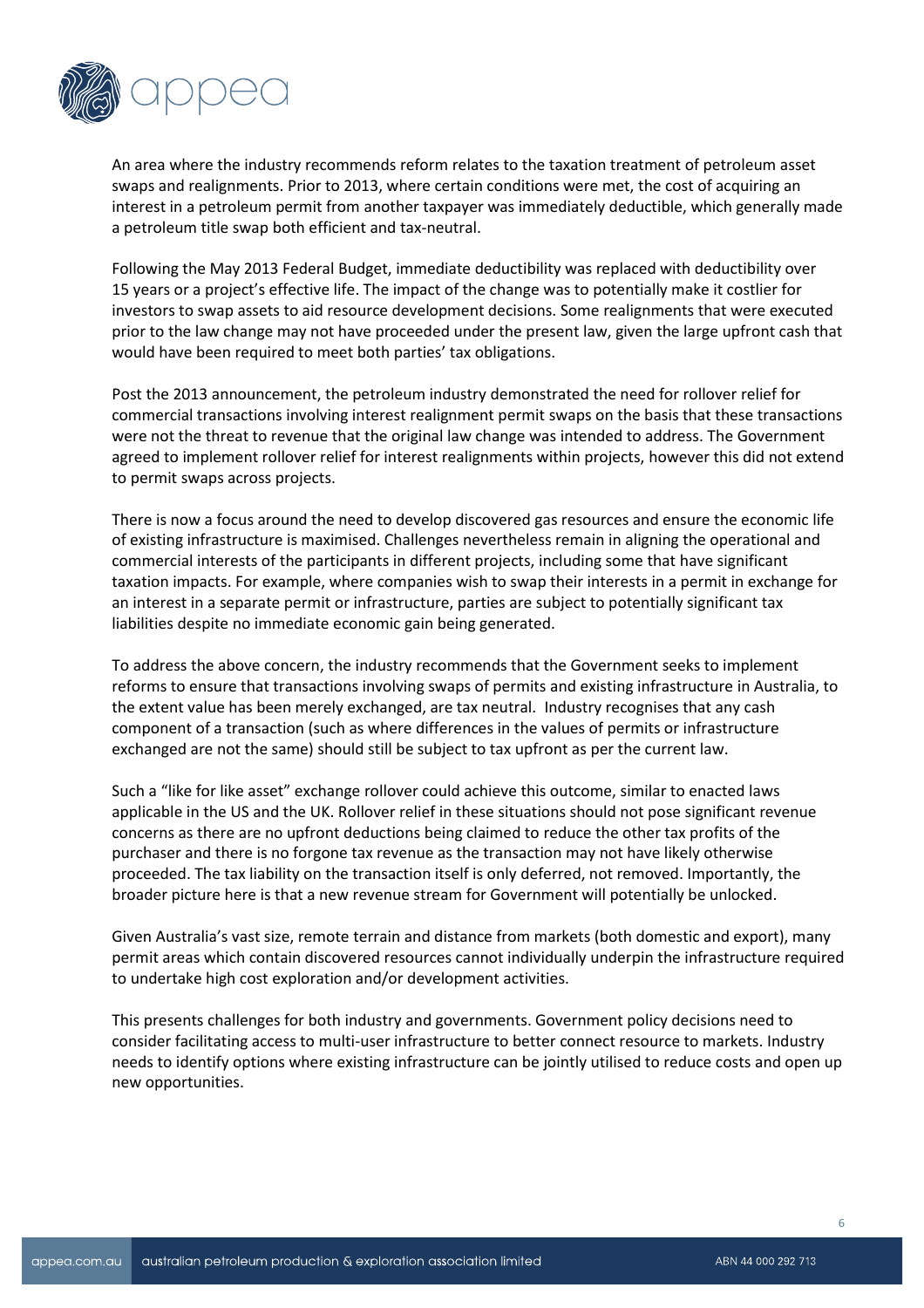

An area where the industry recommends reform relates to the taxation treatment of petroleum asset swaps and realignments. Prior to 2013, where certain conditions were met, the cost of acquiring an interest in a petroleum permit from another taxpayer was immediately deductible, which generally made a petroleum title swap both efficient and tax-neutral.

Following the May 2013 Federal Budget, immediate deductibility was replaced with deductibility over 15 years or a project's effective life. The impact of the change was to potentially make it costlier for investors to swap assets to aid resource development decisions. Some realignments that were executed prior to the law change may not have proceeded under the present law, given the large upfront cash that would have been required to meet both parties' tax obligations.

Post the 2013 announcement, the petroleum industry demonstrated the need for rollover relief for commercial transactions involving interest realignment permit swaps on the basis that these transactions were not the threat to revenue that the original law change was intended to address. The Government agreed to implement rollover relief for interest realignments within projects, however this did not extend to permit swaps across projects.

There is now a focus around the need to develop discovered gas resources and ensure the economic life of existing infrastructure is maximised. Challenges nevertheless remain in aligning the operational and commercial interests of the participants in different projects, including some that have significant taxation impacts. For example, where companies wish to swap their interests in a permit in exchange for an interest in a separate permit or infrastructure, parties are subject to potentially significant tax liabilities despite no immediate economic gain being generated.

To address the above concern, the industry recommends that the Government seeks to implement reforms to ensure that transactions involving swaps of permits and existing infrastructure in Australia, to the extent value has been merely exchanged, are tax neutral. Industry recognises that any cash component of a transaction (such as where differences in the values of permits or infrastructure exchanged are not the same) should still be subject to tax upfront as per the current law.

Such a "like for like asset" exchange rollover could achieve this outcome, similar to enacted laws applicable in the US and the UK. Rollover relief in these situations should not pose significant revenue concerns as there are no upfront deductions being claimed to reduce the other tax profits of the purchaser and there is no forgone tax revenue as the transaction may not have likely otherwise proceeded. The tax liability on the transaction itself is only deferred, not removed. Importantly, the broader picture here is that a new revenue stream for Government will potentially be unlocked.

Given Australia's vast size, remote terrain and distance from markets (both domestic and export), many permit areas which contain discovered resources cannot individually underpin the infrastructure required to undertake high cost exploration and/or development activities.

This presents challenges for both industry and governments. Government policy decisions need to consider facilitating access to multi-user infrastructure to better connect resource to markets. Industry needs to identify options where existing infrastructure can be jointly utilised to reduce costs and open up new opportunities.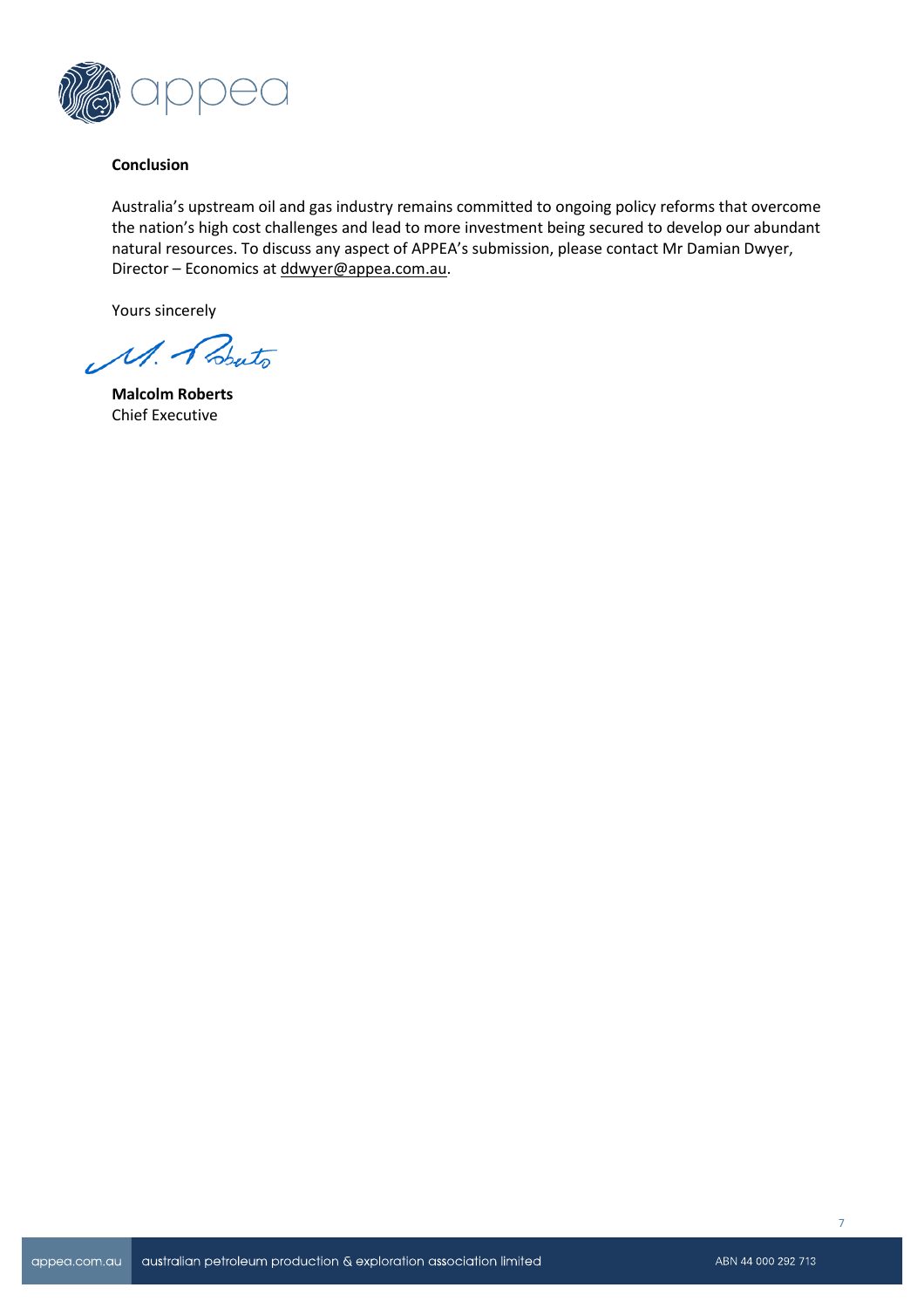

## **Conclusion**

Australia's upstream oil and gas industry remains committed to ongoing policy reforms that overcome the nation's high cost challenges and lead to more investment being secured to develop our abundant natural resources. To discuss any aspect of APPEA's submission, please contact Mr Damian Dwyer, Director – Economics at [ddwyer@appea.com.au.](mailto:ddwyer@appea.com.au)

Yours sincerely

M. Bouto

**Malcolm Roberts** Chief Executive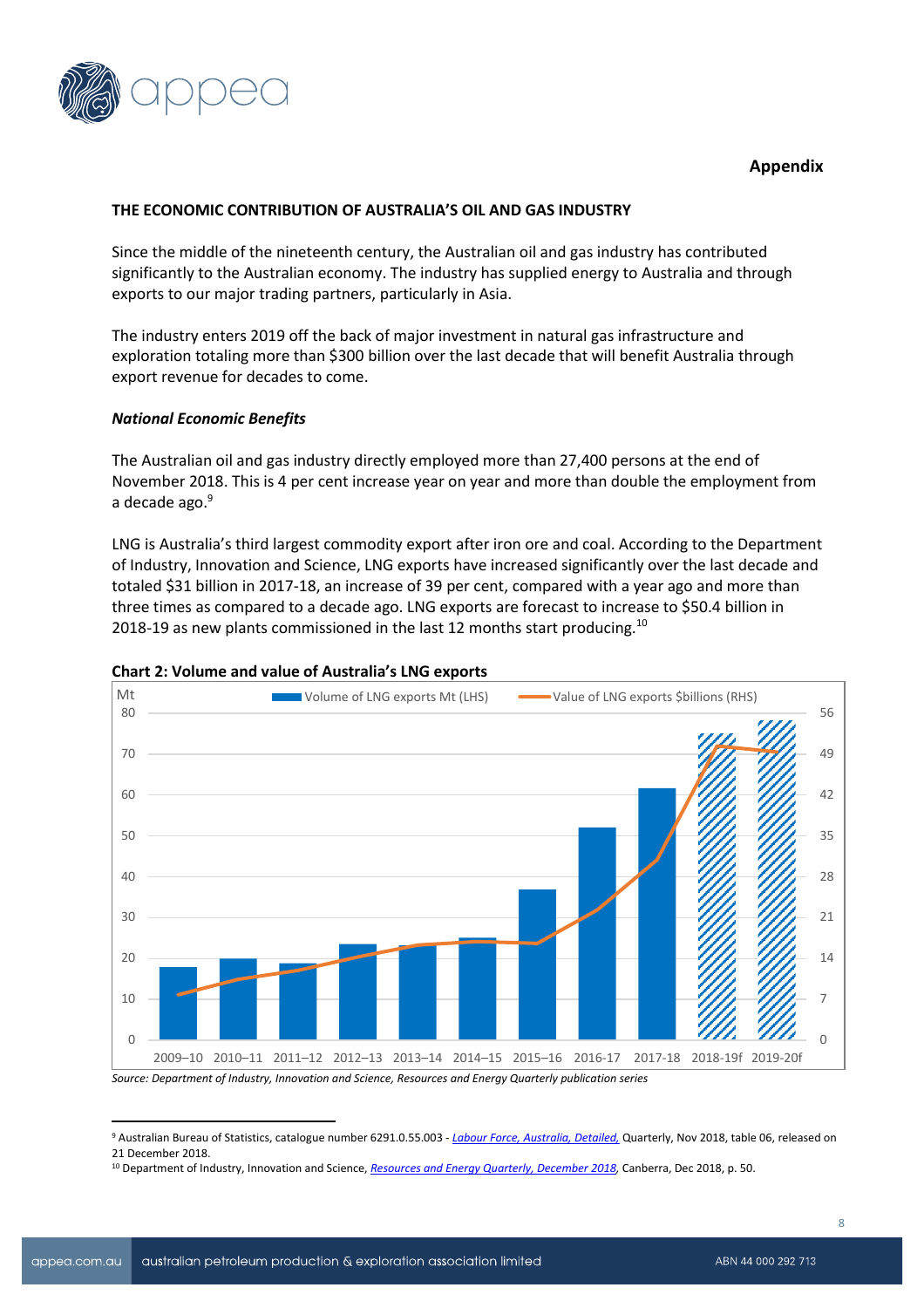

# **Appendix**

## **THE ECONOMIC CONTRIBUTION OF AUSTRALIA'S OIL AND GAS INDUSTRY**

Since the middle of the nineteenth century, the Australian oil and gas industry has contributed significantly to the Australian economy. The industry has supplied energy to Australia and through exports to our major trading partners, particularly in Asia.

The industry enters 2019 off the back of major investment in natural gas infrastructure and exploration totaling more than \$300 billion over the last decade that will benefit Australia through export revenue for decades to come.

#### *National Economic Benefits*

The Australian oil and gas industry directly employed more than 27,400 persons at the end of November 2018. This is 4 per cent increase year on year and more than double the employment from a decade ago.<sup>9</sup>

LNG is Australia's third largest commodity export after iron ore and coal. According to the Department of Industry, Innovation and Science, LNG exports have increased significantly over the last decade and totaled \$31 billion in 2017-18, an increase of 39 per cent, compared with a year ago and more than three times as compared to a decade ago. LNG exports are forecast to increase to \$50.4 billion in 2018-19 as new plants commissioned in the last 12 months start producing.<sup>10</sup>



# **Chart 2: Volume and value of Australia's LNG exports**

*Source: Department of Industry, Innovation and Science, Resources and Energy Quarterly publication series*

<sup>9</sup> Australian Bureau of Statistics, catalogue number 6291.0.55.003 - *[Labour Force, Australia, Detailed,](http://www.abs.gov.au/AUSSTATS/abs@.nsf/DetailsPage/6291.0.55.003Nov%202018?OpenDocument)* Quarterly, Nov 2018, table 06, released on 21 December 2018.

<sup>10</sup> Department of Industry, Innovation and Science, *[Resources and Energy Quarterly, December 2018,](https://publications.industry.gov.au/publications/resourcesandenergyquarterlydecember2018/documents/Resources-and-Energy-Quarterly-December-2018.pdf)* Canberra, Dec 2018, p. 50.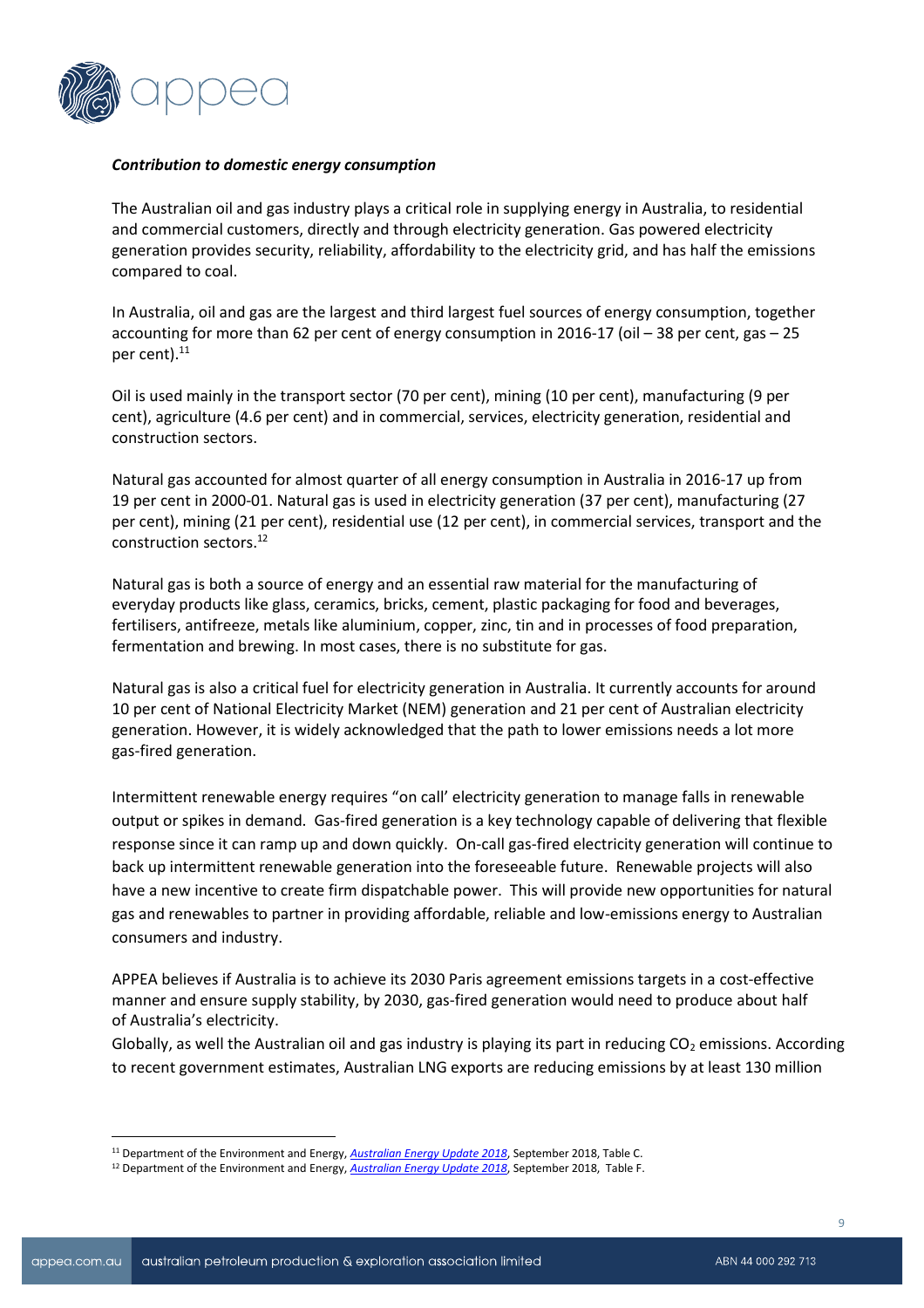

## *Contribution to domestic energy consumption*

The Australian oil and gas industry plays a critical role in supplying energy in Australia, to residential and commercial customers, directly and through electricity generation. Gas powered electricity generation provides security, reliability, affordability to the electricity grid, and has half the emissions compared to coal.

In Australia, oil and gas are the largest and third largest fuel sources of energy consumption, together accounting for more than 62 per cent of energy consumption in 2016-17 (oil – 38 per cent, gas – 25 per cent).<sup>11</sup>

Oil is used mainly in the transport sector (70 per cent), mining (10 per cent), manufacturing (9 per cent), agriculture (4.6 per cent) and in commercial, services, electricity generation, residential and construction sectors.

Natural gas accounted for almost quarter of all energy consumption in Australia in 2016-17 up from 19 per cent in 2000-01. Natural gas is used in electricity generation (37 per cent), manufacturing (27 per cent), mining (21 per cent), residential use (12 per cent), in commercial services, transport and the construction sectors.<sup>12</sup>

Natural gas is both a source of energy and an essential raw material for the manufacturing of everyday products like glass, ceramics, bricks, cement, plastic packaging for food and beverages, fertilisers, antifreeze, metals like aluminium, copper, zinc, tin and in processes of food preparation, fermentation and brewing. In most cases, there is no substitute for gas.

Natural gas is also a critical fuel for electricity generation in Australia. It currently accounts for around 10 per cent of National Electricity Market (NEM) generation and 21 per cent of Australian electricity generation. However, it is widely acknowledged that the path to lower emissions needs a lot more gas-fired generation.

Intermittent renewable energy requires "on call' electricity generation to manage falls in renewable output or spikes in demand. Gas-fired generation is a key technology capable of delivering that flexible response since it can ramp up and down quickly. On-call gas-fired electricity generation will continue to back up intermittent renewable generation into the foreseeable future. Renewable projects will also have a new incentive to create firm dispatchable power. This will provide new opportunities for natural gas and renewables to partner in providing affordable, reliable and low-emissions energy to Australian consumers and industry.

APPEA believes if Australia is to achieve its 2030 Paris agreement emissions targets in a cost-effective manner and ensure supply stability, by 2030, gas-fired generation would need to produce about half of Australia's electricity.

Globally, as well the Australian oil and gas industry is playing its part in reducing  $CO<sub>2</sub>$  emissions. According to recent government estimates, Australian LNG exports are reducing emissions by at least 130 million

<sup>11</sup> Department of the Environment and Energy, *[Australian Energy Update 2018](https://www.energy.gov.au/publications/australian-energy-update-2018)*, September 2018, Table C.

<sup>12</sup> Department of the Environment and Energy, *[Australian Energy Update 2018](https://www.energy.gov.au/publications/australian-energy-update-2018)*, September 2018, Table F.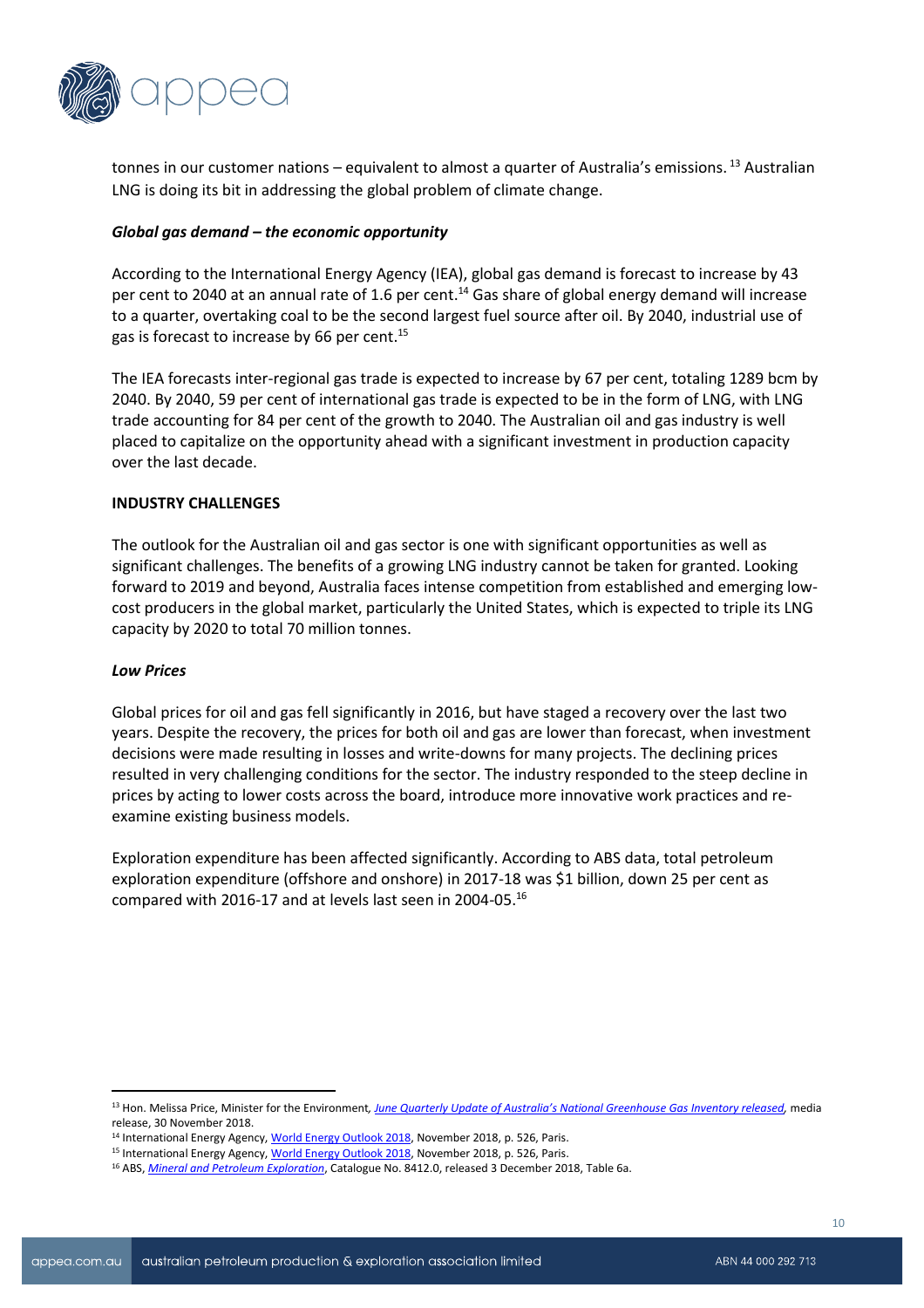

tonnes in our customer nations – equivalent to almost a quarter of Australia's emissions.<sup>13</sup> Australian LNG is doing its bit in addressing the global problem of climate change.

# *Global gas demand – the economic opportunity*

According to the International Energy Agency (IEA), global gas demand is forecast to increase by 43 per cent to 2040 at an annual rate of 1.6 per cent. <sup>14</sup> Gas share of global energy demand will increase to a quarter, overtaking coal to be the second largest fuel source after oil. By 2040, industrial use of gas is forecast to increase by 66 per cent.<sup>15</sup>

The IEA forecasts inter-regional gas trade is expected to increase by 67 per cent, totaling 1289 bcm by 2040. By 2040, 59 per cent of international gas trade is expected to be in the form of LNG, with LNG trade accounting for 84 per cent of the growth to 2040. The Australian oil and gas industry is well placed to capitalize on the opportunity ahead with a significant investment in production capacity over the last decade.

#### **INDUSTRY CHALLENGES**

The outlook for the Australian oil and gas sector is one with significant opportunities as well as significant challenges. The benefits of a growing LNG industry cannot be taken for granted. Looking forward to 2019 and beyond, Australia faces intense competition from established and emerging lowcost producers in the global market, particularly the United States, which is expected to triple its LNG capacity by 2020 to total 70 million tonnes.

#### *Low Prices*

 $\overline{a}$ 

Global prices for oil and gas fell significantly in 2016, but have staged a recovery over the last two years. Despite the recovery, the prices for both oil and gas are lower than forecast, when investment decisions were made resulting in losses and write-downs for many projects. The declining prices resulted in very challenging conditions for the sector. The industry responded to the steep decline in prices by acting to lower costs across the board, introduce more innovative work practices and reexamine existing business models.

Exploration expenditure has been affected significantly. According to ABS data, total petroleum exploration expenditure (offshore and onshore) in 2017-18 was \$1 billion, down 25 per cent as compared with 2016-17 and at levels last seen in 2004-05.<sup>16</sup>

<sup>13</sup> Hon. Melissa Price, Minister for the Environment*, [June Quarterly Update of Australia's National Greenhouse Gas Inventory released](http://www.environment.gov.au/minister/price/media-releases/mr20181130a.html),* media release, 30 November 2018.

<sup>&</sup>lt;sup>14</sup> International Energy Agency, World Energ[y Outlook](https://www.iea.org/weo2018/) 2018, November 2018, p. 526, Paris.

<sup>&</sup>lt;sup>15</sup> International Energy Agency[, World Energy Outlook 2018,](https://www.iea.org/weo2018/) November 2018, p. 526, Paris.

<sup>16</sup> ABS, *[Mineral and Petroleum Exploration](http://www.abs.gov.au/AUSSTATS/abs@.nsf/DetailsPage/8412.0Sep%202018?OpenDocument)*, Catalogue No. 8412.0, released 3 December 2018, Table 6a.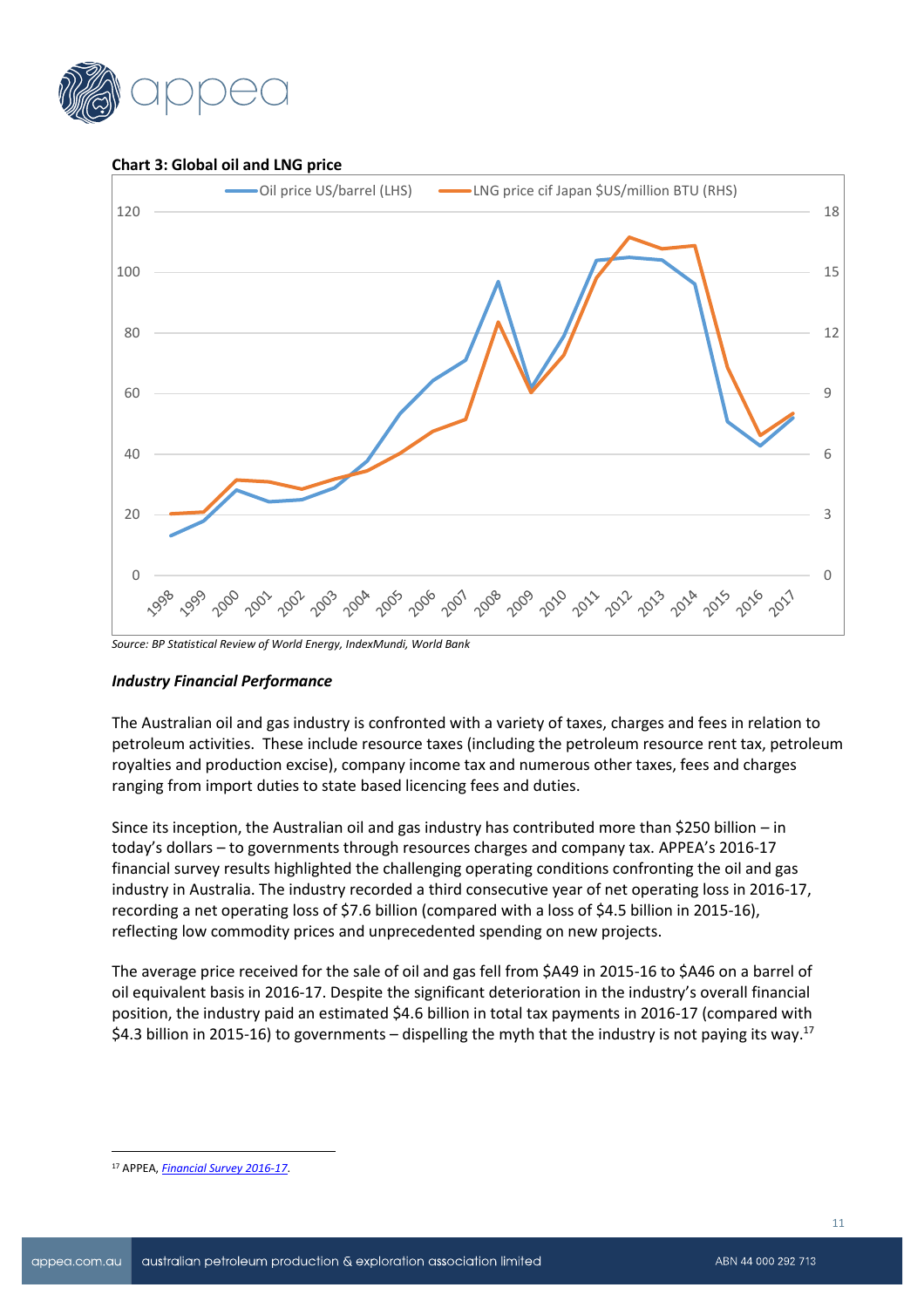

**Chart 3: Global oil and LNG price**



*Source: BP Statistical Review of World Energy, IndexMundi, World Bank*

# *Industry Financial Performance*

The Australian oil and gas industry is confronted with a variety of taxes, charges and fees in relation to petroleum activities. These include resource taxes (including the petroleum resource rent tax, petroleum royalties and production excise), company income tax and numerous other taxes, fees and charges ranging from import duties to state based licencing fees and duties.

Since its inception, the Australian oil and gas industry has contributed more than \$250 billion – in today's dollars – to governments through resources charges and company tax. APPEA's 2016-17 financial survey results highlighted the challenging operating conditions confronting the oil and gas industry in Australia. The industry recorded a third consecutive year of net operating loss in 2016-17, recording a net operating loss of \$7.6 billion (compared with a loss of \$4.5 billion in 2015-16), reflecting low commodity prices and unprecedented spending on new projects.

The average price received for the sale of oil and gas fell from \$A49 in 2015-16 to \$A46 on a barrel of oil equivalent basis in 2016-17. Despite the significant deterioration in the industry's overall financial position, the industry paid an estimated \$4.6 billion in total tax payments in 2016-17 (compared with \$4.3 billion in 2015-16) to governments – dispelling the myth that the industry is not paying its way.<sup>17</sup>

<sup>17</sup> APPEA, *[Financial Survey 2016-17](https://www.appea.com.au/media_release/oil-and-gas-industry-paying-substantial-tax-despite-record-operating-loss/)*.